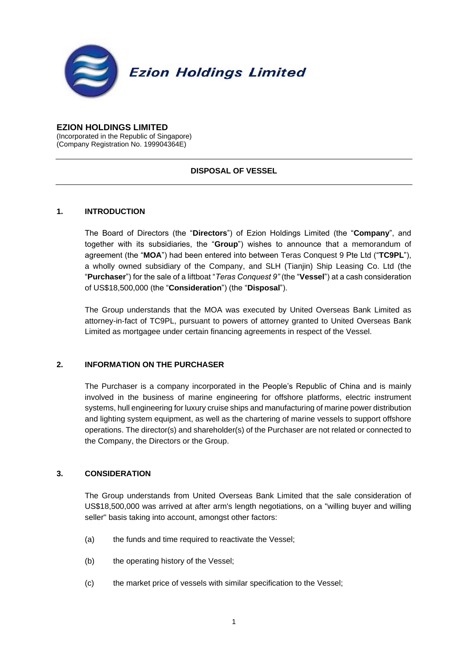

#### **EZION HOLDINGS LIMITED**

(Incorporated in the Republic of Singapore) (Company Registration No. 199904364E)

## **DISPOSAL OF VESSEL**

### **1. INTRODUCTION**

The Board of Directors (the "**Directors**") of Ezion Holdings Limited (the "**Company**", and together with its subsidiaries, the "**Group**") wishes to announce that a memorandum of agreement (the "**MOA**") had been entered into between Teras Conquest 9 Pte Ltd ("**TC9PL**"), a wholly owned subsidiary of the Company, and SLH (Tianjin) Ship Leasing Co. Ltd (the "**Purchaser**") for the sale of a liftboat "*Teras Conquest 9"* (the "**Vessel**") at a cash consideration of US\$18,500,000 (the "**Consideration**") (the "**Disposal**").

The Group understands that the MOA was executed by United Overseas Bank Limited as attorney-in-fact of TC9PL, pursuant to powers of attorney granted to United Overseas Bank Limited as mortgagee under certain financing agreements in respect of the Vessel.

### **2. INFORMATION ON THE PURCHASER**

The Purchaser is a company incorporated in the People's Republic of China and is mainly involved in the business of marine engineering for offshore platforms, electric instrument systems, hull engineering for luxury cruise ships and manufacturing of marine power distribution and lighting system equipment, as well as the chartering of marine vessels to support offshore operations. The director(s) and shareholder(s) of the Purchaser are not related or connected to the Company, the Directors or the Group.

### **3. CONSIDERATION**

The Group understands from United Overseas Bank Limited that the sale consideration of US\$18,500,000 was arrived at after arm's length negotiations, on a "willing buyer and willing seller" basis taking into account, amongst other factors:

- (a) the funds and time required to reactivate the Vessel:
- (b) the operating history of the Vessel;
- (c) the market price of vessels with similar specification to the Vessel;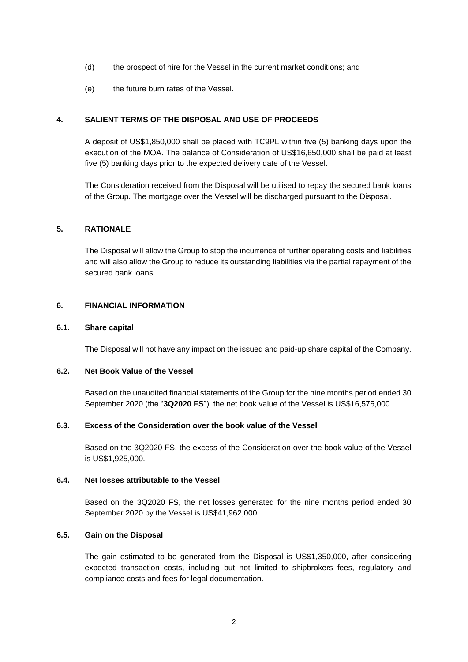- (d) the prospect of hire for the Vessel in the current market conditions; and
- (e) the future burn rates of the Vessel.

## **4. SALIENT TERMS OF THE DISPOSAL AND USE OF PROCEEDS**

A deposit of US\$1,850,000 shall be placed with TC9PL within five (5) banking days upon the execution of the MOA. The balance of Consideration of US\$16,650,000 shall be paid at least five (5) banking days prior to the expected delivery date of the Vessel.

The Consideration received from the Disposal will be utilised to repay the secured bank loans of the Group. The mortgage over the Vessel will be discharged pursuant to the Disposal.

## **5. RATIONALE**

The Disposal will allow the Group to stop the incurrence of further operating costs and liabilities and will also allow the Group to reduce its outstanding liabilities via the partial repayment of the secured bank loans

#### **6. FINANCIAL INFORMATION**

#### **6.1. Share capital**

The Disposal will not have any impact on the issued and paid-up share capital of the Company.

#### **6.2. Net Book Value of the Vessel**

Based on the unaudited financial statements of the Group for the nine months period ended 30 September 2020 (the "**3Q2020 FS**"), the net book value of the Vessel is US\$16,575,000.

#### **6.3. Excess of the Consideration over the book value of the Vessel**

Based on the 3Q2020 FS, the excess of the Consideration over the book value of the Vessel is US\$1,925,000.

#### **6.4. Net losses attributable to the Vessel**

Based on the 3Q2020 FS, the net losses generated for the nine months period ended 30 September 2020 by the Vessel is US\$41,962,000.

#### **6.5. Gain on the Disposal**

The gain estimated to be generated from the Disposal is US\$1,350,000, after considering expected transaction costs, including but not limited to shipbrokers fees, regulatory and compliance costs and fees for legal documentation.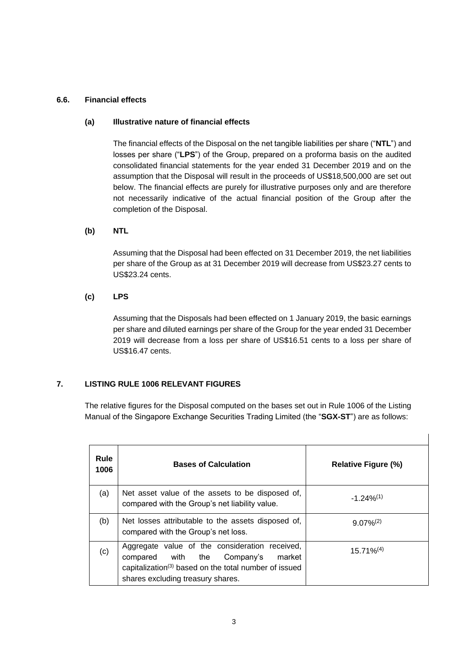## **6.6. Financial effects**

## **(a) Illustrative nature of financial effects**

The financial effects of the Disposal on the net tangible liabilities per share ("**NTL**") and losses per share ("**LPS**") of the Group, prepared on a proforma basis on the audited consolidated financial statements for the year ended 31 December 2019 and on the assumption that the Disposal will result in the proceeds of US\$18,500,000 are set out below. The financial effects are purely for illustrative purposes only and are therefore not necessarily indicative of the actual financial position of the Group after the completion of the Disposal.

# **(b) NTL**

Assuming that the Disposal had been effected on 31 December 2019, the net liabilities per share of the Group as at 31 December 2019 will decrease from US\$23.27 cents to US\$23.24 cents.

# **(c) LPS**

Assuming that the Disposals had been effected on 1 January 2019, the basic earnings per share and diluted earnings per share of the Group for the year ended 31 December 2019 will decrease from a loss per share of US\$16.51 cents to a loss per share of US\$16.47 cents.

# **7. LISTING RULE 1006 RELEVANT FIGURES**

The relative figures for the Disposal computed on the bases set out in Rule 1006 of the Listing Manual of the Singapore Exchange Securities Trading Limited (the "**SGX-ST**") are as follows:

| Rule<br>1006 | <b>Bases of Calculation</b>                                                                                                                                                                       | <b>Relative Figure (%)</b> |
|--------------|---------------------------------------------------------------------------------------------------------------------------------------------------------------------------------------------------|----------------------------|
| (a)          | Net asset value of the assets to be disposed of,<br>compared with the Group's net liability value.                                                                                                | $-1.24\%^{(1)}$            |
| (b)          | Net losses attributable to the assets disposed of,<br>compared with the Group's net loss.                                                                                                         | $9.07\%^{(2)}$             |
| (c)          | Aggregate value of the consideration received,<br>compared with the Company's<br>market<br>capitalization <sup>(3)</sup> based on the total number of issued<br>shares excluding treasury shares. | $15.71\%^{(4)}$            |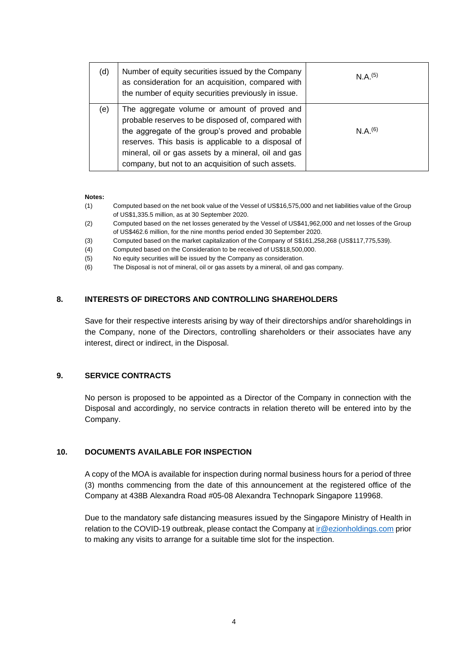| (d) | Number of equity securities issued by the Company<br>as consideration for an acquisition, compared with<br>the number of equity securities previously in issue.                                                                                                                                                             | N.A.(5) |
|-----|-----------------------------------------------------------------------------------------------------------------------------------------------------------------------------------------------------------------------------------------------------------------------------------------------------------------------------|---------|
| (e) | The aggregate volume or amount of proved and<br>probable reserves to be disposed of, compared with<br>the aggregate of the group's proved and probable<br>reserves. This basis is applicable to a disposal of<br>mineral, oil or gas assets by a mineral, oil and gas<br>company, but not to an acquisition of such assets. | N.A.(6) |

#### **Notes:**

- (1) Computed based on the net book value of the Vessel of US\$16,575,000 and net liabilities value of the Group of US\$1,335.5 million, as at 30 September 2020.
- (2) Computed based on the net losses generated by the Vessel of US\$41,962,000 and net losses of the Group of US\$462.6 million, for the nine months period ended 30 September 2020.
- (3) Computed based on the market capitalization of the Company of S\$161,258,268 (US\$117,775,539).
- (4) Computed based on the Consideration to be received of US\$18,500,000.
- (5) No equity securities will be issued by the Company as consideration.
- (6) The Disposal is not of mineral, oil or gas assets by a mineral, oil and gas company.

#### **8. INTERESTS OF DIRECTORS AND CONTROLLING SHAREHOLDERS**

Save for their respective interests arising by way of their directorships and/or shareholdings in the Company, none of the Directors, controlling shareholders or their associates have any interest, direct or indirect, in the Disposal.

## **9. SERVICE CONTRACTS**

No person is proposed to be appointed as a Director of the Company in connection with the Disposal and accordingly, no service contracts in relation thereto will be entered into by the Company.

### **10. DOCUMENTS AVAILABLE FOR INSPECTION**

A copy of the MOA is available for inspection during normal business hours for a period of three (3) months commencing from the date of this announcement at the registered office of the Company at 438B Alexandra Road #05-08 Alexandra Technopark Singapore 119968.

Due to the mandatory safe distancing measures issued by the Singapore Ministry of Health in relation to the COVID-19 outbreak, please contact the Company at [ir@ezionholdings.com](mailto:ir@ezionholdings.com) prior to making any visits to arrange for a suitable time slot for the inspection.